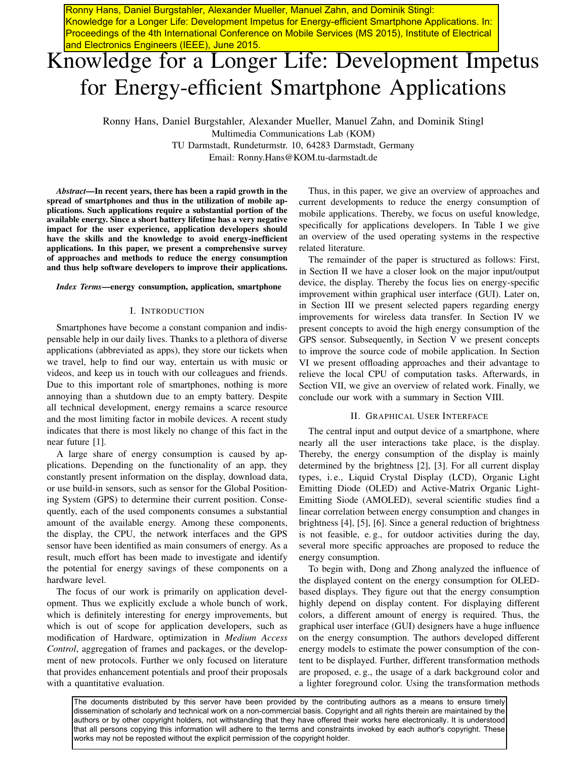Ronny Hans, Daniel Burgstahler, Alexander Mueller, Manuel Zahn, and Dominik Stingl: Knowledge for a Longer Life: Development Impetus for Energy-efficient Smartphone Applications. In: Proceedings of the 4th International Conference on Mobile Services (MS 2015), Institute of Electrical and Electronics Engineers (IEEE), June 2015.

# Knowledge for a Longer Life: Development Impetus for Energy-efficient Smartphone Applications

Ronny Hans, Daniel Burgstahler, Alexander Mueller, Manuel Zahn, and Dominik Stingl Multimedia Communications Lab (KOM) TU Darmstadt, Rundeturmstr. 10, 64283 Darmstadt, Germany Email: Ronny.Hans@KOM.tu-darmstadt.de

*Abstract*—In recent years, there has been a rapid growth in the spread of smartphones and thus in the utilization of mobile applications. Such applications require a substantial portion of the available energy. Since a short battery lifetime has a very negative impact for the user experience, application developers should have the skills and the knowledge to avoid energy-inefficient applications. In this paper, we present a comprehensive survey of approaches and methods to reduce the energy consumption and thus help software developers to improve their applications.

#### *Index Terms*—energy consumption, application, smartphone

# I. INTRODUCTION

Smartphones have become a constant companion and indispensable help in our daily lives. Thanks to a plethora of diverse applications (abbreviated as apps), they store our tickets when we travel, help to find our way, entertain us with music or videos, and keep us in touch with our colleagues and friends. Due to this important role of smartphones, nothing is more annoying than a shutdown due to an empty battery. Despite all technical development, energy remains a scarce resource and the most limiting factor in mobile devices. A recent study indicates that there is most likely no change of this fact in the near future [1].

A large share of energy consumption is caused by applications. Depending on the functionality of an app, they constantly present information on the display, download data, or use build-in sensors, such as sensor for the Global Positioning System (GPS) to determine their current position. Consequently, each of the used components consumes a substantial amount of the available energy. Among these components, the display, the CPU, the network interfaces and the GPS sensor have been identified as main consumers of energy. As a result, much effort has been made to investigate and identify the potential for energy savings of these components on a hardware level.

The focus of our work is primarily on application development. Thus we explicitly exclude a whole bunch of work, which is definitely interesting for energy improvements, but which is out of scope for application developers, such as modification of Hardware, optimization in *Medium Access Control*, aggregation of frames and packages, or the development of new protocols. Further we only focused on literature that provides enhancement potentials and proof their proposals with a quantitative evaluation.

Thus, in this paper, we give an overview of approaches and current developments to reduce the energy consumption of mobile applications. Thereby, we focus on useful knowledge, specifically for applications developers. In Table I we give an overview of the used operating systems in the respective related literature.

The remainder of the paper is structured as follows: First, in Section II we have a closer look on the major input/output device, the display. Thereby the focus lies on energy-specific improvement within graphical user interface (GUI). Later on, in Section III we present selected papers regarding energy improvements for wireless data transfer. In Section IV we present concepts to avoid the high energy consumption of the GPS sensor. Subsequently, in Section V we present concepts to improve the source code of mobile application. In Section VI we present offloading approaches and their advantage to relieve the local CPU of computation tasks. Afterwards, in Section VII, we give an overview of related work. Finally, we conclude our work with a summary in Section VIII.

### II. GRAPHICAL USER INTERFACE

The central input and output device of a smartphone, where nearly all the user interactions take place, is the display. Thereby, the energy consumption of the display is mainly determined by the brightness [2], [3]. For all current display types, i. e., Liquid Crystal Display (LCD), Organic Light Emitting Diode (OLED) and Active-Matrix Organic Light-Emitting Siode (AMOLED), several scientific studies find a linear correlation between energy consumption and changes in brightness [4], [5], [6]. Since a general reduction of brightness is not feasible, e. g., for outdoor activities during the day, several more specific approaches are proposed to reduce the energy consumption.

To begin with, Dong and Zhong analyzed the influence of the displayed content on the energy consumption for OLEDbased displays. They figure out that the energy consumption highly depend on display content. For displaying different colors, a different amount of energy is required. Thus, the graphical user interface (GUI) designers have a huge influence on the energy consumption. The authors developed different energy models to estimate the power consumption of the content to be displayed. Further, different transformation methods are proposed, e. g., the usage of a dark background color and a lighter foreground color. Using the transformation methods

The documents distributed by this server have been provided by the contributing authors as a means to ensure timely dissemination of scholarly and technical work on a non-commercial basis. Copyright and all rights therein are maintained by the authors or by other copyright holders, not withstanding that they have offered their works here electronically. It is understood that all persons copying this information will adhere to the terms and constraints invoked by each author's copyright. These works may not be reposted without the explicit permission of the copyright holder.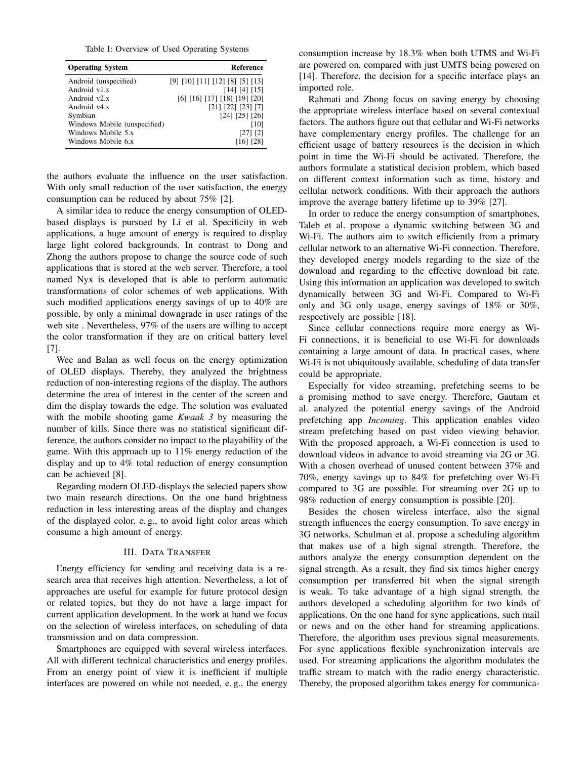Table I: Overview of Used Operating Systems

| <b>Operating System</b>      | <b>Reference</b>                         |
|------------------------------|------------------------------------------|
| Android (unspecified)        | [9] [10] [11] [12] [8] [5] [13]          |
| Android v1.x                 | [14] [4] [15]                            |
| Android $v2.x$               | $[6]$ $[16]$ $[17]$ $[18]$ $[19]$ $[20]$ |
| Android $v4.x$               | $[21]$ $[22]$ $[23]$ $[7]$               |
| Symbian                      | $[24]$ $[25]$ $[26]$                     |
| Windows Mobile (unspecified) | [10]                                     |
| Windows Mobile 5.x           | $[27]$ $[2]$                             |
| Windows Mobile 6.x           | $[16]$ $[28]$                            |

the authors evaluate the influence on the user satisfaction. With only small reduction of the user satisfaction, the energy consumption can be reduced by about 75% [2].

A similar idea to reduce the energy consumption of OLEDbased displays is pursued by Li et al. Specificity in web applications, a huge amount of energy is required to display large light colored backgrounds. In contrast to Dong and Zhong the authors propose to change the source code of such applications that is stored at the web server. Therefore, a tool named Nyx is developed that is able to perform automatic transformations of color schemes of web applications. With such modified applications energy savings of up to 40% are possible, by only a minimal downgrade in user ratings of the web site . Nevertheless, 97% of the users are willing to accept the color transformation if they are on critical battery level [7].

Wee and Balan as well focus on the energy optimization of OLED displays. Thereby, they analyzed the brightness reduction of non-interesting regions of the display. The authors determine the area of interest in the center of the screen and dim the display towards the edge. The solution was evaluated with the mobile shooting game *Kwaak 3* by measuring the number of kills. Since there was no statistical significant difference, the authors consider no impact to the playability of the game. With this approach up to 11% energy reduction of the display and up to 4% total reduction of energy consumption can be achieved [8].

Regarding modern OLED-displays the selected papers show two main research directions. On the one hand brightness reduction in less interesting areas of the display and changes of the displayed color, e. g., to avoid light color areas which consume a high amount of energy.

#### III. DATA TRANSFER

Energy efficiency for sending and receiving data is a research area that receives high attention. Nevertheless, a lot of approaches are useful for example for future protocol design or related topics, but they do not have a large impact for current application development. In the work at hand we focus on the selection of wireless interfaces, on scheduling of data transmission and on data compression.

Smartphones are equipped with several wireless interfaces. All with different technical characteristics and energy profiles. From an energy point of view it is inefficient if multiple interfaces are powered on while not needed, e. g., the energy consumption increase by 18.3% when both UTMS and Wi-Fi are powered on, compared with just UMTS being powered on [14]. Therefore, the decision for a specific interface plays an imported role.

Rahmati and Zhong focus on saving energy by choosing the appropriate wireless interface based on several contextual factors. The authors figure out that cellular and Wi-Fi networks have complementary energy profiles. The challenge for an efficient usage of battery resources is the decision in which point in time the Wi-Fi should be activated. Therefore, the authors formulate a statistical decision problem, which based on different context information such as time, history and cellular network conditions. With their approach the authors improve the average battery lifetime up to 39% [27].

In order to reduce the energy consumption of smartphones, Taleb et al. propose a dynamic switching between 3G and Wi-Fi. The authors aim to switch efficiently from a primary cellular network to an alternative Wi-Fi connection. Therefore, they developed energy models regarding to the size of the download and regarding to the effective download bit rate. Using this information an application was developed to switch dynamically between 3G and Wi-Fi. Compared to Wi-Fi only and 3G only usage, energy savings of 18% or 30%, respectively are possible [18].

Since cellular connections require more energy as Wi-Fi connections, it is beneficial to use Wi-Fi for downloads containing a large amount of data. In practical cases, where Wi-Fi is not ubiquitously available, scheduling of data transfer could be appropriate.

Especially for video streaming, prefetching seems to be a promising method to save energy. Therefore, Gautam et al. analyzed the potential energy savings of the Android prefetching app *Incoming*. This application enables video stream prefetching based on past video viewing behavior. With the proposed approach, a Wi-Fi connection is used to download videos in advance to avoid streaming via 2G or 3G. With a chosen overhead of unused content between 37% and 70%, energy savings up to 84% for prefetching over Wi-Fi compared to 3G are possible. For streaming over 2G up to 98% reduction of energy consumption is possible [20].

Besides the chosen wireless interface, also the signal strength influences the energy consumption. To save energy in 3G networks, Schulman et al. propose a scheduling algorithm that makes use of a high signal strength. Therefore, the authors analyze the energy consumption dependent on the signal strength. As a result, they find six times higher energy consumption per transferred bit when the signal strength is weak. To take advantage of a high signal strength, the authors developed a scheduling algorithm for two kinds of applications. On the one hand for sync applications, such mail or news and on the other hand for streaming applications. Therefore, the algorithm uses previous signal measurements. For sync applications flexible synchronization intervals are used. For streaming applications the algorithm modulates the traffic stream to match with the radio energy characteristic. Thereby, the proposed algorithm takes energy for communica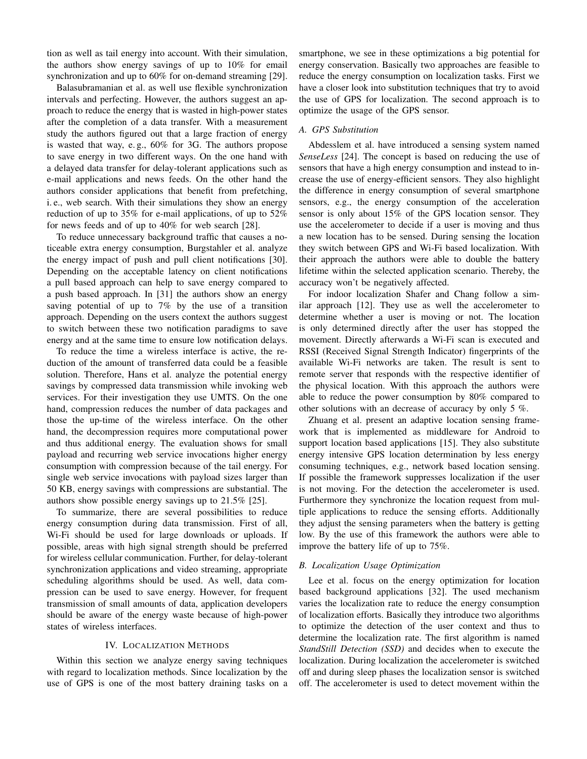tion as well as tail energy into account. With their simulation, the authors show energy savings of up to 10% for email synchronization and up to  $60\%$  for on-demand streaming [29].

Balasubramanian et al. as well use flexible synchronization intervals and perfecting. However, the authors suggest an approach to reduce the energy that is wasted in high-power states after the completion of a data transfer. With a measurement study the authors figured out that a large fraction of energy is wasted that way, e. g., 60% for 3G. The authors propose to save energy in two different ways. On the one hand with a delayed data transfer for delay-tolerant applications such as e-mail applications and news feeds. On the other hand the authors consider applications that benefit from prefetching, i. e., web search. With their simulations they show an energy reduction of up to 35% for e-mail applications, of up to 52% for news feeds and of up to 40% for web search [28].

To reduce unnecessary background traffic that causes a noticeable extra energy consumption, Burgstahler et al. analyze the energy impact of push and pull client notifications [30]. Depending on the acceptable latency on client notifications a pull based approach can help to save energy compared to a push based approach. In [31] the authors show an energy saving potential of up to 7% by the use of a transition approach. Depending on the users context the authors suggest to switch between these two notification paradigms to save energy and at the same time to ensure low notification delays.

To reduce the time a wireless interface is active, the reduction of the amount of transferred data could be a feasible solution. Therefore, Hans et al. analyze the potential energy savings by compressed data transmission while invoking web services. For their investigation they use UMTS. On the one hand, compression reduces the number of data packages and those the up-time of the wireless interface. On the other hand, the decompression requires more computational power and thus additional energy. The evaluation shows for small payload and recurring web service invocations higher energy consumption with compression because of the tail energy. For single web service invocations with payload sizes larger than 50 KB, energy savings with compressions are substantial. The authors show possible energy savings up to 21.5% [25].

To summarize, there are several possibilities to reduce energy consumption during data transmission. First of all, Wi-Fi should be used for large downloads or uploads. If possible, areas with high signal strength should be preferred for wireless cellular communication. Further, for delay-tolerant synchronization applications and video streaming, appropriate scheduling algorithms should be used. As well, data compression can be used to save energy. However, for frequent transmission of small amounts of data, application developers should be aware of the energy waste because of high-power states of wireless interfaces.

## IV. LOCALIZATION METHODS

Within this section we analyze energy saving techniques with regard to localization methods. Since localization by the use of GPS is one of the most battery draining tasks on a smartphone, we see in these optimizations a big potential for energy conservation. Basically two approaches are feasible to reduce the energy consumption on localization tasks. First we have a closer look into substitution techniques that try to avoid the use of GPS for localization. The second approach is to optimize the usage of the GPS sensor.

### *A. GPS Substitution*

Abdesslem et al. have introduced a sensing system named *SenseLess* [24]. The concept is based on reducing the use of sensors that have a high energy consumption and instead to increase the use of energy-efficient sensors. They also highlight the difference in energy consumption of several smartphone sensors, e.g., the energy consumption of the acceleration sensor is only about 15% of the GPS location sensor. They use the accelerometer to decide if a user is moving and thus a new location has to be sensed. During sensing the location they switch between GPS and Wi-Fi based localization. With their approach the authors were able to double the battery lifetime within the selected application scenario. Thereby, the accuracy won't be negatively affected.

For indoor localization Shafer and Chang follow a similar approach [12]. They use as well the accelerometer to determine whether a user is moving or not. The location is only determined directly after the user has stopped the movement. Directly afterwards a Wi-Fi scan is executed and RSSI (Received Signal Strength Indicator) fingerprints of the available Wi-Fi networks are taken. The result is sent to remote server that responds with the respective identifier of the physical location. With this approach the authors were able to reduce the power consumption by 80% compared to other solutions with an decrease of accuracy by only 5 %.

Zhuang et al. present an adaptive location sensing framework that is implemented as middleware for Android to support location based applications [15]. They also substitute energy intensive GPS location determination by less energy consuming techniques, e.g., network based location sensing. If possible the framework suppresses localization if the user is not moving. For the detection the accelerometer is used. Furthermore they synchronize the location request from multiple applications to reduce the sensing efforts. Additionally they adjust the sensing parameters when the battery is getting low. By the use of this framework the authors were able to improve the battery life of up to 75%.

# *B. Localization Usage Optimization*

Lee et al. focus on the energy optimization for location based background applications [32]. The used mechanism varies the localization rate to reduce the energy consumption of localization efforts. Basically they introduce two algorithms to optimize the detection of the user context and thus to determine the localization rate. The first algorithm is named *StandStill Detection (SSD)* and decides when to execute the localization. During localization the accelerometer is switched off and during sleep phases the localization sensor is switched off. The accelerometer is used to detect movement within the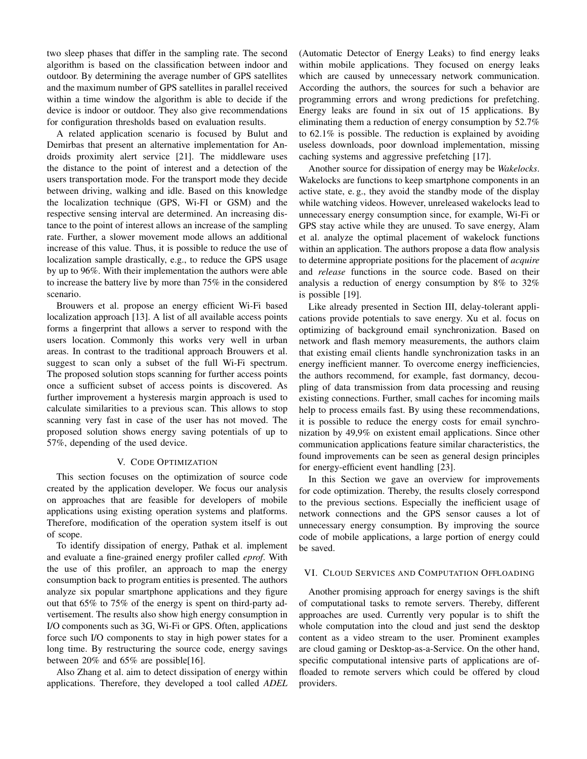two sleep phases that differ in the sampling rate. The second algorithm is based on the classification between indoor and outdoor. By determining the average number of GPS satellites and the maximum number of GPS satellites in parallel received within a time window the algorithm is able to decide if the device is indoor or outdoor. They also give recommendations for configuration thresholds based on evaluation results.

A related application scenario is focused by Bulut and Demirbas that present an alternative implementation for Androids proximity alert service [21]. The middleware uses the distance to the point of interest and a detection of the users transportation mode. For the transport mode they decide between driving, walking and idle. Based on this knowledge the localization technique (GPS, Wi-FI or GSM) and the respective sensing interval are determined. An increasing distance to the point of interest allows an increase of the sampling rate. Further, a slower movement mode allows an additional increase of this value. Thus, it is possible to reduce the use of localization sample drastically, e.g., to reduce the GPS usage by up to 96%. With their implementation the authors were able to increase the battery live by more than 75% in the considered scenario.

Brouwers et al. propose an energy efficient Wi-Fi based localization approach [13]. A list of all available access points forms a fingerprint that allows a server to respond with the users location. Commonly this works very well in urban areas. In contrast to the traditional approach Brouwers et al. suggest to scan only a subset of the full Wi-Fi spectrum. The proposed solution stops scanning for further access points once a sufficient subset of access points is discovered. As further improvement a hysteresis margin approach is used to calculate similarities to a previous scan. This allows to stop scanning very fast in case of the user has not moved. The proposed solution shows energy saving potentials of up to 57%, depending of the used device.

## V. CODE OPTIMIZATION

This section focuses on the optimization of source code created by the application developer. We focus our analysis on approaches that are feasible for developers of mobile applications using existing operation systems and platforms. Therefore, modification of the operation system itself is out of scope.

To identify dissipation of energy, Pathak et al. implement and evaluate a fine-grained energy profiler called *eprof*. With the use of this profiler, an approach to map the energy consumption back to program entities is presented. The authors analyze six popular smartphone applications and they figure out that 65% to 75% of the energy is spent on third-party advertisement. The results also show high energy consumption in I/O components such as 3G, Wi-Fi or GPS. Often, applications force such I/O components to stay in high power states for a long time. By restructuring the source code, energy savings between 20% and 65% are possible[16].

Also Zhang et al. aim to detect dissipation of energy within applications. Therefore, they developed a tool called *ADEL* (Automatic Detector of Energy Leaks) to find energy leaks within mobile applications. They focused on energy leaks which are caused by unnecessary network communication. According the authors, the sources for such a behavior are programming errors and wrong predictions for prefetching. Energy leaks are found in six out of 15 applications. By eliminating them a reduction of energy consumption by 52.7% to 62.1% is possible. The reduction is explained by avoiding useless downloads, poor download implementation, missing caching systems and aggressive prefetching [17].

Another source for dissipation of energy may be *Wakelocks*. Wakelocks are functions to keep smartphone components in an active state, e. g., they avoid the standby mode of the display while watching videos. However, unreleased wakelocks lead to unnecessary energy consumption since, for example, Wi-Fi or GPS stay active while they are unused. To save energy, Alam et al. analyze the optimal placement of wakelock functions within an application. The authors propose a data flow analysis to determine appropriate positions for the placement of *acquire* and *release* functions in the source code. Based on their analysis a reduction of energy consumption by 8% to 32% is possible [19].

Like already presented in Section III, delay-tolerant applications provide potentials to save energy. Xu et al. focus on optimizing of background email synchronization. Based on network and flash memory measurements, the authors claim that existing email clients handle synchronization tasks in an energy inefficient manner. To overcome energy inefficiencies, the authors recommend, for example, fast dormancy, decoupling of data transmission from data processing and reusing existing connections. Further, small caches for incoming mails help to process emails fast. By using these recommendations, it is possible to reduce the energy costs for email synchronization by 49,9% on existent email applications. Since other communication applications feature similar characteristics, the found improvements can be seen as general design principles for energy-efficient event handling [23].

In this Section we gave an overview for improvements for code optimization. Thereby, the results closely correspond to the previous sections. Especially the inefficient usage of network connections and the GPS sensor causes a lot of unnecessary energy consumption. By improving the source code of mobile applications, a large portion of energy could be saved.

# VI. CLOUD SERVICES AND COMPUTATION OFFLOADING

Another promising approach for energy savings is the shift of computational tasks to remote servers. Thereby, different approaches are used. Currently very popular is to shift the whole computation into the cloud and just send the desktop content as a video stream to the user. Prominent examples are cloud gaming or Desktop-as-a-Service. On the other hand, specific computational intensive parts of applications are offloaded to remote servers which could be offered by cloud providers.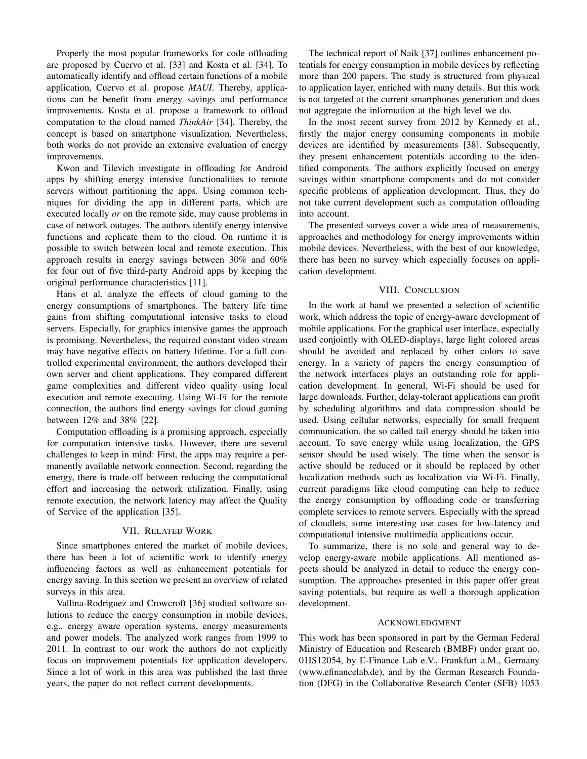Properly the most popular frameworks for code offloading are proposed by Cuervo et al. [33] and Kosta et al. [34]. To automatically identify and offload certain functions of a mobile application, Cuervo et al. propose *MAUI*. Thereby, applications can be benefit from energy savings and performance improvements. Kosta et al. propose a framework to offload computation to the cloud named *ThinkAir* [34]. Thereby, the concept is based on smartphone visualization. Nevertheless, both works do not provide an extensive evaluation of energy improvements.

Kwon and Tilevich investigate in offloading for Android apps by shifting energy intensive functionalities to remote servers without partitioning the apps. Using common techniques for dividing the app in different parts, which are executed locally *or* on the remote side, may cause problems in case of network outages. The authors identify energy intensive functions and replicate them to the cloud. On runtime it is possible to switch between local and remote execution. This approach results in energy savings between 30% and 60% for four out of five third-party Android apps by keeping the original performance characteristics [11].

Hans et al. analyze the effects of cloud gaming to the energy consumptions of smartphones. The battery life time gains from shifting computational intensive tasks to cloud servers. Especially, for graphics intensive games the approach is promising. Nevertheless, the required constant video stream may have negative effects on battery lifetime. For a full controlled experimental environment, the authors developed their own server and client applications. They compared different game complexities and different video quality using local execution and remote executing. Using Wi-Fi for the remote connection, the authors find energy savings for cloud gaming between 12% and 38% [22].

Computation offloading is a promising approach, especially for computation intensive tasks. However, there are several challenges to keep in mind: First, the apps may require a permanently available network connection. Second, regarding the energy, there is trade-off between reducing the computational effort and increasing the network utilization. Finally, using remote execution, the network latency may affect the Quality of Service of the application [35].

# VII. RELATED WORK

Since smartphones entered the market of mobile devices, there has been a lot of scientific work to identify energy influencing factors as well as enhancement potentials for energy saving. In this section we present an overview of related surveys in this area.

Vallina-Rodriguez and Crowcroft [36] studied software solutions to reduce the energy consumption in mobile devices, e.g., energy aware operation systems, energy measurements and power models. The analyzed work ranges from 1999 to 2011. In contrast to our work the authors do not explicitly focus on improvement potentials for application developers. Since a lot of work in this area was published the last three years, the paper do not reflect current developments.

The technical report of Naik [37] outlines enhancement potentials for energy consumption in mobile devices by reflecting more than 200 papers. The study is structured from physical to application layer, enriched with many details. But this work is not targeted at the current smartphones generation and does not aggregate the information at the high level we do.

In the most recent survey from 2012 by Kennedy et al., firstly the major energy consuming components in mobile devices are identified by measurements [38]. Subsequently, they present enhancement potentials according to the identified components. The authors explicitly focused on energy savings within smartphone components and do not consider specific problems of application development. Thus, they do not take current development such as computation offloading into account.

The presented surveys cover a wide area of measurements, approaches and methodology for energy improvements within mobile devices. Nevertheless, with the best of our knowledge, there has been no survey which especially focuses on application development.

#### VIII. CONCLUSION

In the work at hand we presented a selection of scientific work, which address the topic of energy-aware development of mobile applications. For the graphical user interface, especially used conjointly with OLED-displays, large light colored areas should be avoided and replaced by other colors to save energy. In a variety of papers the energy consumption of the network interfaces plays an outstanding role for application development. In general, Wi-Fi should be used for large downloads. Further, delay-tolerant applications can profit by scheduling algorithms and data compression should be used. Using cellular networks, especially for small frequent communication, the so called tail energy should be taken into account. To save energy while using localization, the GPS sensor should be used wisely. The time when the sensor is active should be reduced or it should be replaced by other localization methods such as localization via Wi-Fi. Finally, current paradigms like cloud computing can help to reduce the energy consumption by offloading code or transferring complete services to remote servers. Especially with the spread of cloudlets, some interesting use cases for low-latency and computational intensive multimedia applications occur.

To summarize, there is no sole and general way to develop energy-aware mobile applications. All mentioned aspects should be analyzed in detail to reduce the energy consumption. The approaches presented in this paper offer great saving potentials, but require as well a thorough application development.

#### ACKNOWLEDGMENT

This work has been sponsored in part by the German Federal Ministry of Education and Research (BMBF) under grant no. 01IS12054, by E-Finance Lab e.V., Frankfurt a.M., Germany (www.efinancelab.de), and by the German Research Foundation (DFG) in the Collaborative Research Center (SFB) 1053